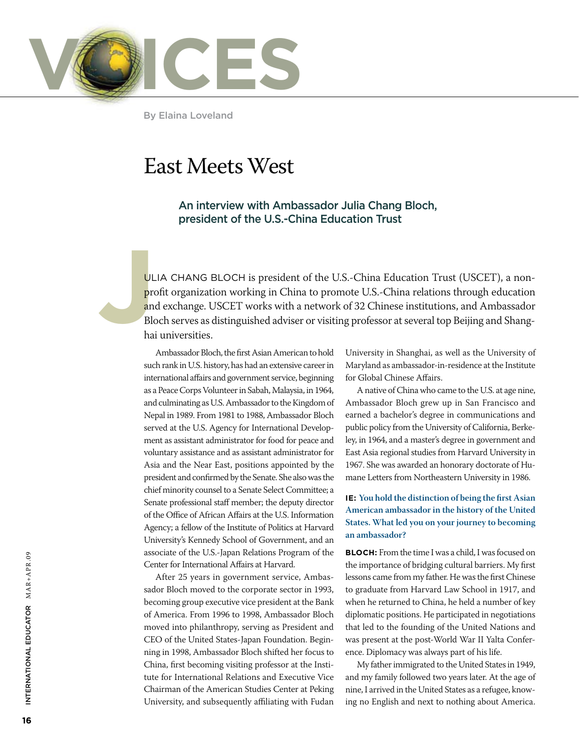

By Elaina Loveland

# East Meets West

An interview with Ambassador Julia Chang Bloch, president of the U.S.-China Education Trust

**J**<br> **Pre**<br> **an**<br>
Bld<br>
ha ulia Chang Bloch is president of the U.S.-China Education Trust (USCET), a nonprofit organization working in China to promote U.S.-China relations through education and exchange. USCET works with a network of 32 Chinese institutions, and Ambassador Bloch serves as distinguished adviser or visiting professor at several top Beijing and Shanghai universities.

> Ambassador Bloch, the first Asian American to hold such rank in U.S. history, has had an extensive career in international affairs and government service, beginning as a Peace Corps Volunteer in Sabah, Malaysia, in 1964, and culminating as U.S. Ambassador to the Kingdom of Nepal in 1989. From 1981 to 1988, Ambassador Bloch served at the U.S. Agency for International Development as assistant administrator for food for peace and voluntary assistance and as assistant administrator for Asia and the Near East, positions appointed by the president and confirmed by the Senate. She also was the chief minority counsel to a Senate Select Committee; a Senate professional staff member; the deputy director of the Office of African Affairs at the U.S. Information Agency; a fellow of the Institute of Politics at Harvard University's Kennedy School of Government, and an associate of the U.S.-Japan Relations Program of the Center for International Affairs at Harvard.

> After 25 years in government service, Ambassador Bloch moved to the corporate sector in 1993, becoming group executive vice president at the Bank of America. From 1996 to 1998, Ambassador Bloch moved into philanthropy, serving as President and CEO of the United States-Japan Foundation. Beginning in 1998, Ambassador Bloch shifted her focus to China, first becoming visiting professor at the Institute for International Relations and Executive Vice Chairman of the American Studies Center at Peking University, and subsequently affiliating with Fudan

University in Shanghai, as well as the University of Maryland as ambassador-in-residence at the Institute for Global Chinese Affairs.

A native of China who came to the U.S. at age nine, Ambassador Bloch grew up in San Francisco and earned a bachelor's degree in communications and public policy from the University of California, Berkeley, in 1964, and a master's degree in government and East Asia regional studies from Harvard University in 1967. She was awarded an honorary doctorate of Humane Letters from Northeastern University in 1986.

## **IE: You hold the distinction of being the first Asian American ambassador in the history of the United States. What led you on your journey to becoming an ambassador?**

**Bloch:** From the time I was a child, I was focused on the importance of bridging cultural barriers. My first lessons came from my father. He was the first Chinese to graduate from Harvard Law School in 1917, and when he returned to China, he held a number of key diplomatic positions. He participated in negotiations that led to the founding of the United Nations and was present at the post-World War II Yalta Conference. Diplomacy was always part of his life.

My father immigrated to the United States in 1949, and my family followed two years later. At the age of nine, I arrived in the United States as a refugee, knowing no English and next to nothing about America.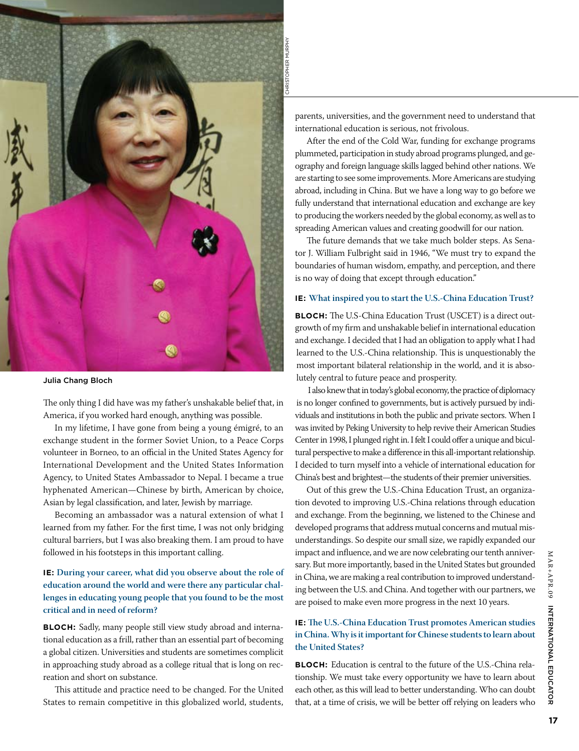

#### Julia Chang Bloch

The only thing I did have was my father's unshakable belief that, in America, if you worked hard enough, anything was possible.

In my lifetime, I have gone from being a young émigré, to an exchange student in the former Soviet Union, to a Peace Corps volunteer in Borneo, to an official in the United States Agency for International Development and the United States Information Agency, to United States Ambassador to Nepal. I became a true hyphenated American—Chinese by birth, American by choice, Asian by legal classification, and later, Jewish by marriage.

Becoming an ambassador was a natural extension of what I learned from my father. For the first time, I was not only bridging cultural barriers, but I was also breaking them. I am proud to have followed in his footsteps in this important calling.

## **IE: During your career, what did you observe about the role of education around the world and were there any particular challenges in educating young people that you found to be the most critical and in need of reform?**

**BLOCH:** Sadly, many people still view study abroad and international education as a frill, rather than an essential part of becoming a global citizen. Universities and students are sometimes complicit in approaching study abroad as a college ritual that is long on recreation and short on substance.

This attitude and practice need to be changed. For the United States to remain competitive in this globalized world, students, parents, universities, and the government need to understand that international education is serious, not frivolous.

After the end of the Cold War, funding for exchange programs plummeted, participation in study abroad programs plunged, and geography and foreign language skills lagged behind other nations. We are starting to see some improvements. More Americans are studying abroad, including in China. But we have a long way to go before we fully understand that international education and exchange are key to producing the workers needed by the global economy, as well as to spreading American values and creating goodwill for our nation.

The future demands that we take much bolder steps. As Senator J. William Fulbright said in 1946, "We must try to expand the boundaries of human wisdom, empathy, and perception, and there is no way of doing that except through education."

### **IE: What inspired you to start the U.S.-China Education Trust?**

**Bloch:** The U.S-China Education Trust (USCET) is a direct outgrowth of my firm and unshakable belief in international education and exchange. I decided that I had an obligation to apply what I had learned to the U.S.-China relationship. This is unquestionably the most important bilateral relationship in the world, and it is absolutely central to future peace and prosperity.

I also knew that in today's global economy, the practice of diplomacy is no longer confined to governments, but is actively pursued by individuals and institutions in both the public and private sectors. When I was invited by Peking University to help revive their American Studies Center in 1998, I plunged right in. I felt I could offer a unique and bicultural perspective to make a difference in this all-important relationship. I decided to turn myself into a vehicle of international education for China's best and brightest—the students of their premier universities.

Out of this grew the U.S.-China Education Trust, an organization devoted to improving U.S.-China relations through education and exchange. From the beginning, we listened to the Chinese and developed programs that address mutual concerns and mutual misunderstandings. So despite our small size, we rapidly expanded our impact and influence, and we are now celebrating our tenth anniversary. But more importantly, based in the United States but grounded in China, we are making a real contribution to improved understanding between the U.S. and China. And together with our partners, we are poised to make even more progress in the next 10 years.

## **IE: The U.S.-China Education Trust promotes American studies in China. Why is it important for Chinese students to learn about the United States?**

**Bloch:** Education is central to the future of the U.S.-China relationship. We must take every opportunity we have to learn about each other, as this will lead to better understanding. Who can doubt that, at a time of crisis, we will be better off relying on leaders who